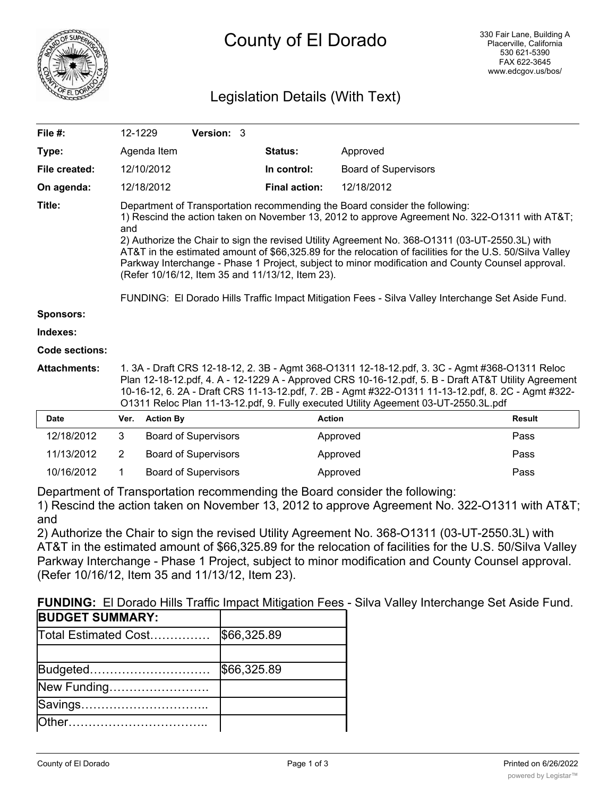

# Legislation Details (With Text)

| File #:             | 12-1229                                                                                                                                                                                                                                                                                                                                                                                             |  | <b>Version: 3</b> |  |                                                  |                                                                                                                                                                                                                                                                                                                                                                                                                                                                                                                                                                                                         |               |
|---------------------|-----------------------------------------------------------------------------------------------------------------------------------------------------------------------------------------------------------------------------------------------------------------------------------------------------------------------------------------------------------------------------------------------------|--|-------------------|--|--------------------------------------------------|---------------------------------------------------------------------------------------------------------------------------------------------------------------------------------------------------------------------------------------------------------------------------------------------------------------------------------------------------------------------------------------------------------------------------------------------------------------------------------------------------------------------------------------------------------------------------------------------------------|---------------|
| Type:               | Agenda Item                                                                                                                                                                                                                                                                                                                                                                                         |  |                   |  | <b>Status:</b>                                   | Approved                                                                                                                                                                                                                                                                                                                                                                                                                                                                                                                                                                                                |               |
| File created:       | 12/10/2012                                                                                                                                                                                                                                                                                                                                                                                          |  |                   |  | In control:                                      | <b>Board of Supervisors</b>                                                                                                                                                                                                                                                                                                                                                                                                                                                                                                                                                                             |               |
| On agenda:          | 12/18/2012                                                                                                                                                                                                                                                                                                                                                                                          |  |                   |  | <b>Final action:</b>                             | 12/18/2012                                                                                                                                                                                                                                                                                                                                                                                                                                                                                                                                                                                              |               |
| Title:              | and                                                                                                                                                                                                                                                                                                                                                                                                 |  |                   |  | (Refer 10/16/12, Item 35 and 11/13/12, Item 23). | Department of Transportation recommending the Board consider the following:<br>1) Rescind the action taken on November 13, 2012 to approve Agreement No. 322-01311 with AT&T<br>2) Authorize the Chair to sign the revised Utility Agreement No. 368-O1311 (03-UT-2550.3L) with<br>AT&T in the estimated amount of \$66,325.89 for the relocation of facilities for the U.S. 50/Silva Valley<br>Parkway Interchange - Phase 1 Project, subject to minor modification and County Counsel approval.<br>FUNDING: El Dorado Hills Traffic Impact Mitigation Fees - Silva Valley Interchange Set Aside Fund. |               |
| <b>Sponsors:</b>    |                                                                                                                                                                                                                                                                                                                                                                                                     |  |                   |  |                                                  |                                                                                                                                                                                                                                                                                                                                                                                                                                                                                                                                                                                                         |               |
| Indexes:            |                                                                                                                                                                                                                                                                                                                                                                                                     |  |                   |  |                                                  |                                                                                                                                                                                                                                                                                                                                                                                                                                                                                                                                                                                                         |               |
| Code sections:      |                                                                                                                                                                                                                                                                                                                                                                                                     |  |                   |  |                                                  |                                                                                                                                                                                                                                                                                                                                                                                                                                                                                                                                                                                                         |               |
| <b>Attachments:</b> | 1. 3A - Draft CRS 12-18-12, 2. 3B - Agmt 368-O1311 12-18-12.pdf, 3. 3C - Agmt #368-O1311 Reloc<br>Plan 12-18-12.pdf, 4. A - 12-1229 A - Approved CRS 10-16-12.pdf, 5. B - Draft AT&T Utility Agreement<br>10-16-12, 6. 2A - Draft CRS 11-13-12.pdf, 7. 2B - Agmt #322-O1311 11-13-12.pdf, 8. 2C - Agmt #322-<br>O1311 Reloc Plan 11-13-12.pdf, 9. Fully executed Utility Ageement 03-UT-2550.3L.pdf |  |                   |  |                                                  |                                                                                                                                                                                                                                                                                                                                                                                                                                                                                                                                                                                                         |               |
| <b>Date</b>         | Ver. Action By                                                                                                                                                                                                                                                                                                                                                                                      |  |                   |  | <b>Action</b>                                    |                                                                                                                                                                                                                                                                                                                                                                                                                                                                                                                                                                                                         | <b>Result</b> |

| Date       | ver. | <b>Action By</b>            | Action   | Result |
|------------|------|-----------------------------|----------|--------|
| 12/18/2012 |      | <b>Board of Supervisors</b> | Approved | Pass   |
| 11/13/2012 |      | <b>Board of Supervisors</b> | Approved | Pass   |
| 10/16/2012 |      | <b>Board of Supervisors</b> | Approved | Pass   |

Department of Transportation recommending the Board consider the following:

1) Rescind the action taken on November 13, 2012 to approve Agreement No. 322-O1311 with AT&T; and

2) Authorize the Chair to sign the revised Utility Agreement No. 368-O1311 (03-UT-2550.3L) with AT&T in the estimated amount of \$66,325.89 for the relocation of facilities for the U.S. 50/Silva Valley Parkway Interchange - Phase 1 Project, subject to minor modification and County Counsel approval. (Refer 10/16/12, Item 35 and 11/13/12, Item 23).

**FUNDING:** El Dorado Hills Traffic Impact Mitigation Fees - Silva Valley Interchange Set Aside Fund.

| <b>BUDGET SUMMARY:</b> |             |
|------------------------|-------------|
| Total Estimated Cost   | \$66,325.89 |
|                        |             |
| Budgeted               | \$66,325.89 |
| New Funding            |             |
| Savings                |             |
|                        |             |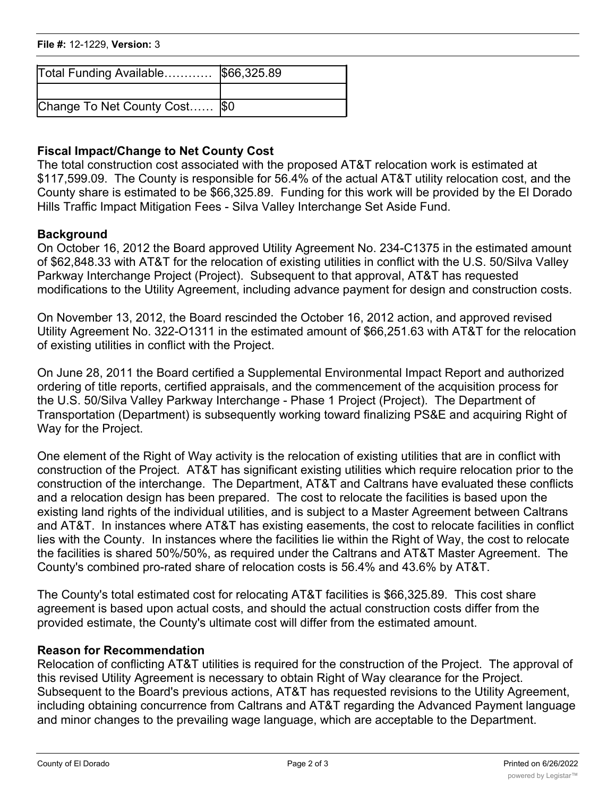# **File #:** 12-1229, Version: 3 Other……………………………..

| Total Funding Available \$66,325.89 |  |
|-------------------------------------|--|
|                                     |  |
| Change To Net County Cost  \$0      |  |

## **Fiscal Impact/Change to Net County Cost**

The total construction cost associated with the proposed AT&T relocation work is estimated at \$117,599.09. The County is responsible for 56.4% of the actual AT&T utility relocation cost, and the County share is estimated to be \$66,325.89. Funding for this work will be provided by the El Dorado Hills Traffic Impact Mitigation Fees - Silva Valley Interchange Set Aside Fund.

### **Background**

On October 16, 2012 the Board approved Utility Agreement No. 234-C1375 in the estimated amount of \$62,848.33 with AT&T for the relocation of existing utilities in conflict with the U.S. 50/Silva Valley Parkway Interchange Project (Project). Subsequent to that approval, AT&T has requested modifications to the Utility Agreement, including advance payment for design and construction costs.

On November 13, 2012, the Board rescinded the October 16, 2012 action, and approved revised Utility Agreement No. 322-O1311 in the estimated amount of \$66,251.63 with AT&T for the relocation of existing utilities in conflict with the Project.

On June 28, 2011 the Board certified a Supplemental Environmental Impact Report and authorized ordering of title reports, certified appraisals, and the commencement of the acquisition process for the U.S. 50/Silva Valley Parkway Interchange - Phase 1 Project (Project). The Department of Transportation (Department) is subsequently working toward finalizing PS&E and acquiring Right of Way for the Project.

One element of the Right of Way activity is the relocation of existing utilities that are in conflict with construction of the Project. AT&T has significant existing utilities which require relocation prior to the construction of the interchange. The Department, AT&T and Caltrans have evaluated these conflicts and a relocation design has been prepared. The cost to relocate the facilities is based upon the existing land rights of the individual utilities, and is subject to a Master Agreement between Caltrans and AT&T. In instances where AT&T has existing easements, the cost to relocate facilities in conflict lies with the County. In instances where the facilities lie within the Right of Way, the cost to relocate the facilities is shared 50%/50%, as required under the Caltrans and AT&T Master Agreement. The County's combined pro-rated share of relocation costs is 56.4% and 43.6% by AT&T.

The County's total estimated cost for relocating AT&T facilities is \$66,325.89. This cost share agreement is based upon actual costs, and should the actual construction costs differ from the provided estimate, the County's ultimate cost will differ from the estimated amount.

#### **Reason for Recommendation**

Relocation of conflicting AT&T utilities is required for the construction of the Project. The approval of this revised Utility Agreement is necessary to obtain Right of Way clearance for the Project. Subsequent to the Board's previous actions, AT&T has requested revisions to the Utility Agreement, including obtaining concurrence from Caltrans and AT&T regarding the Advanced Payment language and minor changes to the prevailing wage language, which are acceptable to the Department.